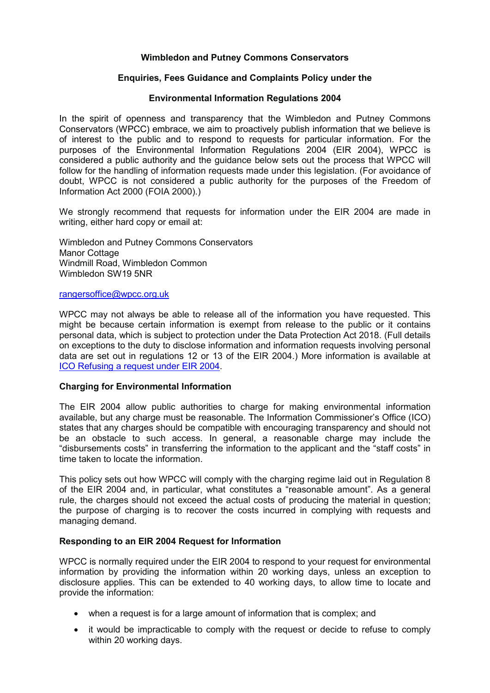# **Wimbledon and Putney Commons Conservators**

# **Enquiries, Fees Guidance and Complaints Policy under the**

## **Environmental Information Regulations 2004**

In the spirit of openness and transparency that the Wimbledon and Putney Commons Conservators (WPCC) embrace, we aim to proactively publish information that we believe is of interest to the public and to respond to requests for particular information. For the purposes of the Environmental Information Regulations 2004 (EIR 2004), WPCC is considered a public authority and the guidance below sets out the process that WPCC will follow for the handling of information requests made under this legislation. (For avoidance of doubt, WPCC is not considered a public authority for the purposes of the Freedom of Information Act 2000 (FOIA 2000).)

We strongly recommend that requests for information under the EIR 2004 are made in writing, either hard copy or email at:

Wimbledon and Putney Commons Conservators Manor Cottage Windmill Road, Wimbledon Common Wimbledon SW19 5NR

#### [rangersoffice@wpcc.org.uk](mailto:rangersoffice@wpcc.org.uk)

WPCC may not always be able to release all of the information you have requested. This might be because certain information is exempt from release to the public or it contains personal data, which is subject to protection under the Data Protection Act 2018. (Full details on exceptions to the duty to disclose information and information requests involving personal data are set out in regulations 12 or 13 of the EIR 2004.) More information is available at [ICO Refusing a request under EIR 2004.](https://ico.org.uk/media/1628/refusing_a_request_under_the_eir.pdf)

### **Charging for Environmental Information**

The EIR 2004 allow public authorities to charge for making environmental information available, but any charge must be reasonable. The Information Commissioner's Office (ICO) states that any charges should be compatible with encouraging transparency and should not be an obstacle to such access. In general, a reasonable charge may include the "disbursements costs" in transferring the information to the applicant and the "staff costs" in time taken to locate the information.

This policy sets out how WPCC will comply with the charging regime laid out in Regulation 8 of the EIR 2004 and, in particular, what constitutes a "reasonable amount". As a general rule, the charges should not exceed the actual costs of producing the material in question; the purpose of charging is to recover the costs incurred in complying with requests and managing demand.

### **Responding to an EIR 2004 Request for Information**

WPCC is normally required under the EIR 2004 to respond to your request for environmental information by providing the information within 20 working days, unless an exception to disclosure applies. This can be extended to 40 working days, to allow time to locate and provide the information:

- when a request is for a large amount of information that is complex: and
- it would be impracticable to comply with the request or decide to refuse to comply within 20 working days.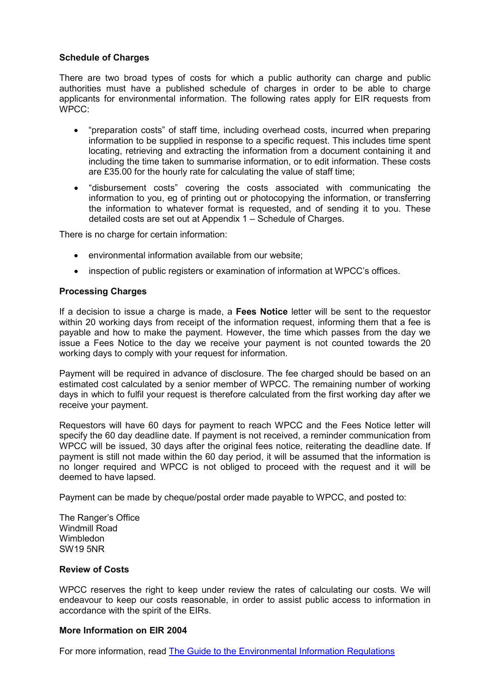# **Schedule of Charges**

There are two broad types of costs for which a public authority can charge and public authorities must have a published schedule of charges in order to be able to charge applicants for environmental information. The following rates apply for EIR requests from WPCC:

- "preparation costs" of staff time, including overhead costs, incurred when preparing information to be supplied in response to a specific request. This includes time spent locating, retrieving and extracting the information from a document containing it and including the time taken to summarise information, or to edit information. These costs are £35.00 for the hourly rate for calculating the value of staff time;
- "disbursement costs" covering the costs associated with communicating the information to you, eg of printing out or photocopying the information, or transferring the information to whatever format is requested, and of sending it to you. These detailed costs are set out at Appendix 1 – Schedule of Charges.

There is no charge for certain information:

- environmental information available from our website;
- inspection of public registers or examination of information at WPCC's offices.

### **Processing Charges**

If a decision to issue a charge is made, a **Fees Notice** letter will be sent to the requestor within 20 working days from receipt of the information request, informing them that a fee is payable and how to make the payment. However, the time which passes from the day we issue a Fees Notice to the day we receive your payment is not counted towards the 20 working days to comply with your request for information.

Payment will be required in advance of disclosure. The fee charged should be based on an estimated cost calculated by a senior member of WPCC. The remaining number of working days in which to fulfil your request is therefore calculated from the first working day after we receive your payment.

Requestors will have 60 days for payment to reach WPCC and the Fees Notice letter will specify the 60 day deadline date. If payment is not received, a reminder communication from WPCC will be issued, 30 days after the original fees notice, reiterating the deadline date. If payment is still not made within the 60 day period, it will be assumed that the information is no longer required and WPCC is not obliged to proceed with the request and it will be deemed to have lapsed.

Payment can be made by cheque/postal order made payable to WPCC, and posted to:

The Ranger's Office Windmill Road **Wimbledon** SW19 5NR

### **Review of Costs**

WPCC reserves the right to keep under review the rates of calculating our costs. We will endeavour to keep our costs reasonable, in order to assist public access to information in accordance with the spirit of the EIRs.

### **More Information on EIR 2004**

For more information, read [The Guide to the Environmental Information Regulations](https://www.pdpjournals.com/docs/88521.pdf)